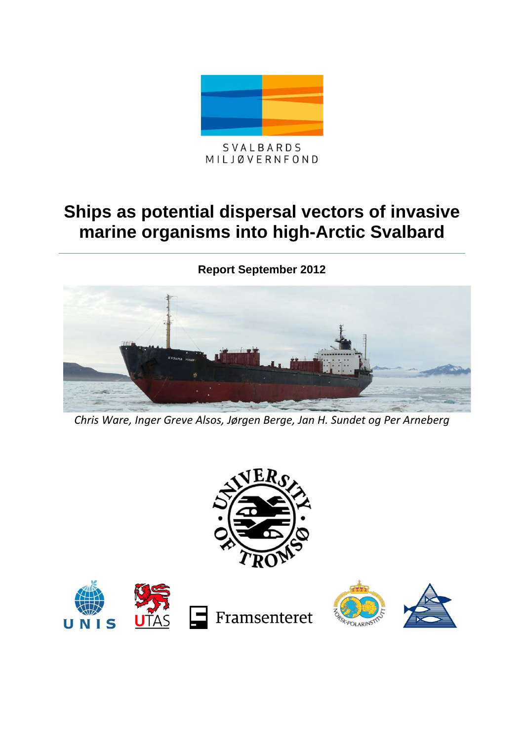

MILJØVERNFOND

# **Ships as potential dispersal vectors of invasive marine organisms into high-Arctic Svalbard**

**Report September 2012**



*Chris Ware, Inger Greve Alsos, Jørgen Berge, Jan H. Sundet og Per Arneberg*





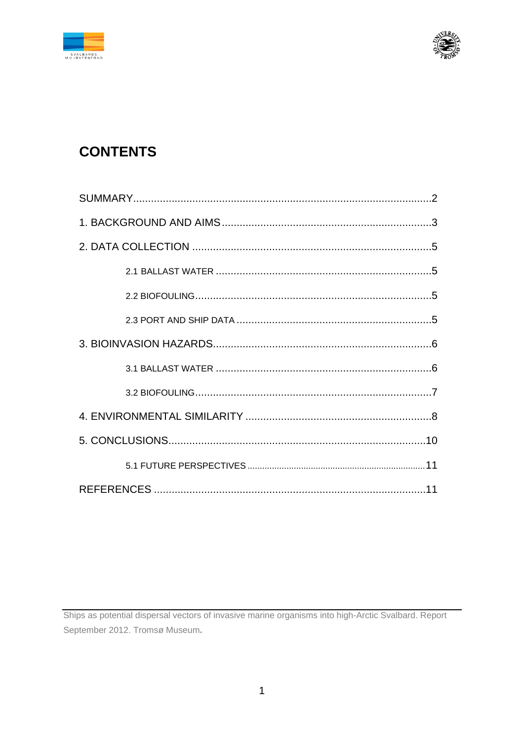



## **CONTENTS**

Ships as potential dispersal vectors of invasive marine organisms into high-Arctic Svalbard. Report September 2012. Tromsø Museum.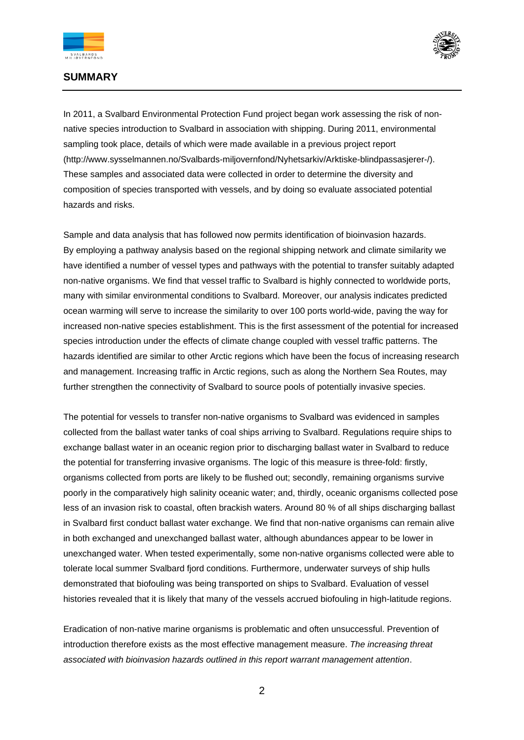



### **SUMMARY**

In 2011, a Svalbard Environmental Protection Fund project began work assessing the risk of nonnative species introduction to Svalbard in association with shipping. During 2011, environmental sampling took place, details of which were made available in a previous project report (http://www.sysselmannen.no/Svalbards-miljovernfond/Nyhetsarkiv/Arktiske-blindpassasjerer-/). These samples and associated data were collected in order to determine the diversity and composition of species transported with vessels, and by doing so evaluate associated potential hazards and risks.

Sample and data analysis that has followed now permits identification of bioinvasion hazards. By employing a pathway analysis based on the regional shipping network and climate similarity we have identified a number of vessel types and pathways with the potential to transfer suitably adapted non-native organisms. We find that vessel traffic to Svalbard is highly connected to worldwide ports, many with similar environmental conditions to Svalbard. Moreover, our analysis indicates predicted ocean warming will serve to increase the similarity to over 100 ports world-wide, paving the way for increased non-native species establishment. This is the first assessment of the potential for increased species introduction under the effects of climate change coupled with vessel traffic patterns. The hazards identified are similar to other Arctic regions which have been the focus of increasing research and management. Increasing traffic in Arctic regions, such as along the Northern Sea Routes, may further strengthen the connectivity of Svalbard to source pools of potentially invasive species.

The potential for vessels to transfer non-native organisms to Svalbard was evidenced in samples collected from the ballast water tanks of coal ships arriving to Svalbard. Regulations require ships to exchange ballast water in an oceanic region prior to discharging ballast water in Svalbard to reduce the potential for transferring invasive organisms. The logic of this measure is three-fold: firstly, organisms collected from ports are likely to be flushed out; secondly, remaining organisms survive poorly in the comparatively high salinity oceanic water; and, thirdly, oceanic organisms collected pose less of an invasion risk to coastal, often brackish waters. Around 80 % of all ships discharging ballast in Svalbard first conduct ballast water exchange. We find that non-native organisms can remain alive in both exchanged and unexchanged ballast water, although abundances appear to be lower in unexchanged water. When tested experimentally, some non-native organisms collected were able to tolerate local summer Svalbard fjord conditions. Furthermore, underwater surveys of ship hulls demonstrated that biofouling was being transported on ships to Svalbard. Evaluation of vessel histories revealed that it is likely that many of the vessels accrued biofouling in high-latitude regions.

Eradication of non-native marine organisms is problematic and often unsuccessful. Prevention of introduction therefore exists as the most effective management measure. *The increasing threat associated with bioinvasion hazards outlined in this report warrant management attention*.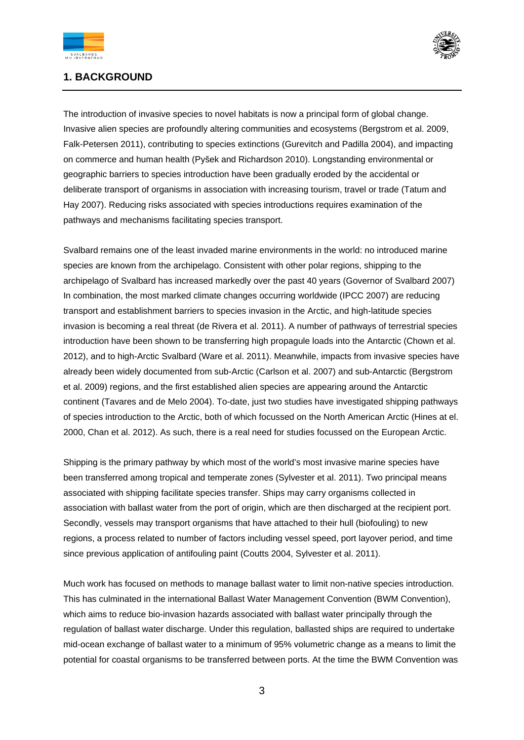



## **1. BACKGROUND**

The introduction of invasive species to novel habitats is now a principal form of global change. Invasive alien species are profoundly altering communities and ecosystems (Bergstrom et al. 2009, Falk-Petersen 2011), contributing to species extinctions (Gurevitch and Padilla 2004), and impacting on commerce and human health (Pyšek and Richardson 2010). Longstanding environmental or geographic barriers to species introduction have been gradually eroded by the accidental or deliberate transport of organisms in association with increasing tourism, travel or trade (Tatum and Hay 2007). Reducing risks associated with species introductions requires examination of the pathways and mechanisms facilitating species transport.

Svalbard remains one of the least invaded marine environments in the world: no introduced marine species are known from the archipelago. Consistent with other polar regions, shipping to the archipelago of Svalbard has increased markedly over the past 40 years (Governor of Svalbard 2007) In combination, the most marked climate changes occurring worldwide (IPCC 2007) are reducing transport and establishment barriers to species invasion in the Arctic, and high-latitude species invasion is becoming a real threat (de Rivera et al. 2011). A number of pathways of terrestrial species introduction have been shown to be transferring high propagule loads into the Antarctic (Chown et al. 2012), and to high-Arctic Svalbard (Ware et al. 2011). Meanwhile, impacts from invasive species have already been widely documented from sub-Arctic (Carlson et al. 2007) and sub-Antarctic (Bergstrom et al. 2009) regions, and the first established alien species are appearing around the Antarctic continent (Tavares and de Melo 2004). To-date, just two studies have investigated shipping pathways of species introduction to the Arctic, both of which focussed on the North American Arctic (Hines at el. 2000, Chan et al. 2012). As such, there is a real need for studies focussed on the European Arctic.

Shipping is the primary pathway by which most of the world's most invasive marine species have been transferred among tropical and temperate zones (Sylvester et al. 2011). Two principal means associated with shipping facilitate species transfer. Ships may carry organisms collected in association with ballast water from the port of origin, which are then discharged at the recipient port. Secondly, vessels may transport organisms that have attached to their hull (biofouling) to new regions, a process related to number of factors including vessel speed, port layover period, and time since previous application of antifouling paint (Coutts 2004, Sylvester et al. 2011).

Much work has focused on methods to manage ballast water to limit non-native species introduction. This has culminated in the international Ballast Water Management Convention (BWM Convention), which aims to reduce bio-invasion hazards associated with ballast water principally through the regulation of ballast water discharge. Under this regulation, ballasted ships are required to undertake mid-ocean exchange of ballast water to a minimum of 95% volumetric change as a means to limit the potential for coastal organisms to be transferred between ports. At the time the BWM Convention was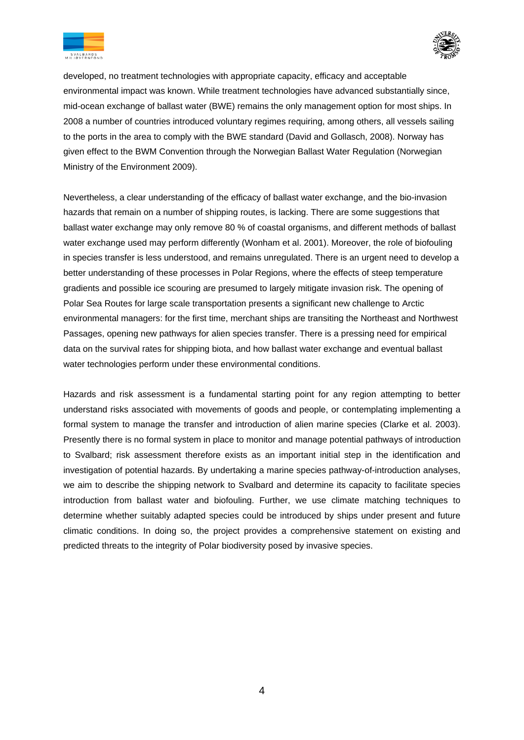



developed, no treatment technologies with appropriate capacity, efficacy and acceptable environmental impact was known. While treatment technologies have advanced substantially since, mid-ocean exchange of ballast water (BWE) remains the only management option for most ships. In 2008 a number of countries introduced voluntary regimes requiring, among others, all vessels sailing to the ports in the area to comply with the BWE standard (David and Gollasch, 2008). Norway has given effect to the BWM Convention through the Norwegian Ballast Water Regulation (Norwegian Ministry of the Environment 2009).

Nevertheless, a clear understanding of the efficacy of ballast water exchange, and the bio-invasion hazards that remain on a number of shipping routes, is lacking. There are some suggestions that ballast water exchange may only remove 80 % of coastal organisms, and different methods of ballast water exchange used may perform differently (Wonham et al. 2001). Moreover, the role of biofouling in species transfer is less understood, and remains unregulated. There is an urgent need to develop a better understanding of these processes in Polar Regions, where the effects of steep temperature gradients and possible ice scouring are presumed to largely mitigate invasion risk. The opening of Polar Sea Routes for large scale transportation presents a significant new challenge to Arctic environmental managers: for the first time, merchant ships are transiting the Northeast and Northwest Passages, opening new pathways for alien species transfer. There is a pressing need for empirical data on the survival rates for shipping biota, and how ballast water exchange and eventual ballast water technologies perform under these environmental conditions.

Hazards and risk assessment is a fundamental starting point for any region attempting to better understand risks associated with movements of goods and people, or contemplating implementing a formal system to manage the transfer and introduction of alien marine species (Clarke et al. 2003). Presently there is no formal system in place to monitor and manage potential pathways of introduction to Svalbard; risk assessment therefore exists as an important initial step in the identification and investigation of potential hazards. By undertaking a marine species pathway-of-introduction analyses, we aim to describe the shipping network to Svalbard and determine its capacity to facilitate species introduction from ballast water and biofouling. Further, we use climate matching techniques to determine whether suitably adapted species could be introduced by ships under present and future climatic conditions. In doing so, the project provides a comprehensive statement on existing and predicted threats to the integrity of Polar biodiversity posed by invasive species.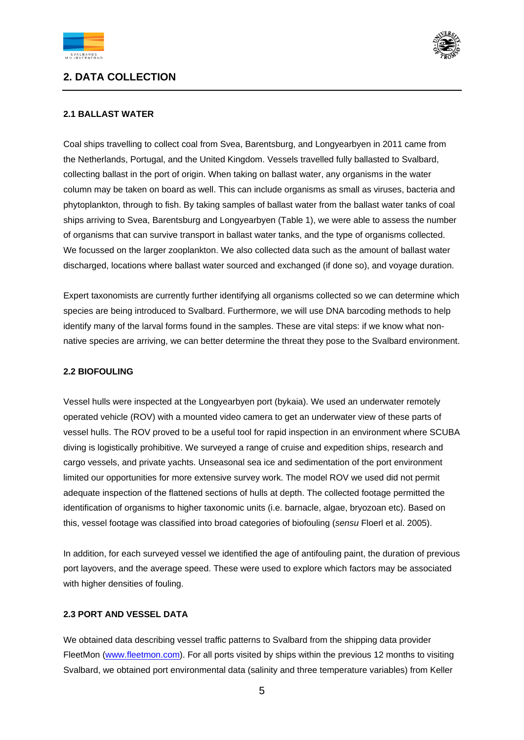

## **2. DATA COLLECTION**



#### **2.1 BALLAST WATER**

Coal ships travelling to collect coal from Svea, Barentsburg, and Longyearbyen in 2011 came from the Netherlands, Portugal, and the United Kingdom. Vessels travelled fully ballasted to Svalbard, collecting ballast in the port of origin. When taking on ballast water, any organisms in the water column may be taken on board as well. This can include organisms as small as viruses, bacteria and phytoplankton, through to fish. By taking samples of ballast water from the ballast water tanks of coal ships arriving to Svea, Barentsburg and Longyearbyen (Table 1), we were able to assess the number of organisms that can survive transport in ballast water tanks, and the type of organisms collected. We focussed on the larger zooplankton. We also collected data such as the amount of ballast water discharged, locations where ballast water sourced and exchanged (if done so), and voyage duration.

Expert taxonomists are currently further identifying all organisms collected so we can determine which species are being introduced to Svalbard. Furthermore, we will use DNA barcoding methods to help identify many of the larval forms found in the samples. These are vital steps: if we know what nonnative species are arriving, we can better determine the threat they pose to the Svalbard environment.

#### **2.2 BIOFOULING**

Vessel hulls were inspected at the Longyearbyen port (bykaia). We used an underwater remotely operated vehicle (ROV) with a mounted video camera to get an underwater view of these parts of vessel hulls. The ROV proved to be a useful tool for rapid inspection in an environment where SCUBA diving is logistically prohibitive. We surveyed a range of cruise and expedition ships, research and cargo vessels, and private yachts. Unseasonal sea ice and sedimentation of the port environment limited our opportunities for more extensive survey work. The model ROV we used did not permit adequate inspection of the flattened sections of hulls at depth. The collected footage permitted the identification of organisms to higher taxonomic units (i.e. barnacle, algae, bryozoan etc). Based on this, vessel footage was classified into broad categories of biofouling (*sensu* Floerl et al. 2005).

In addition, for each surveyed vessel we identified the age of antifouling paint, the duration of previous port layovers, and the average speed. These were used to explore which factors may be associated with higher densities of fouling.

#### **2.3 PORT AND VESSEL DATA**

We obtained data describing vessel traffic patterns to Svalbard from the shipping data provider FleetMon (www.fleetmon.com). For all ports visited by ships within the previous 12 months to visiting Svalbard, we obtained port environmental data (salinity and three temperature variables) from Keller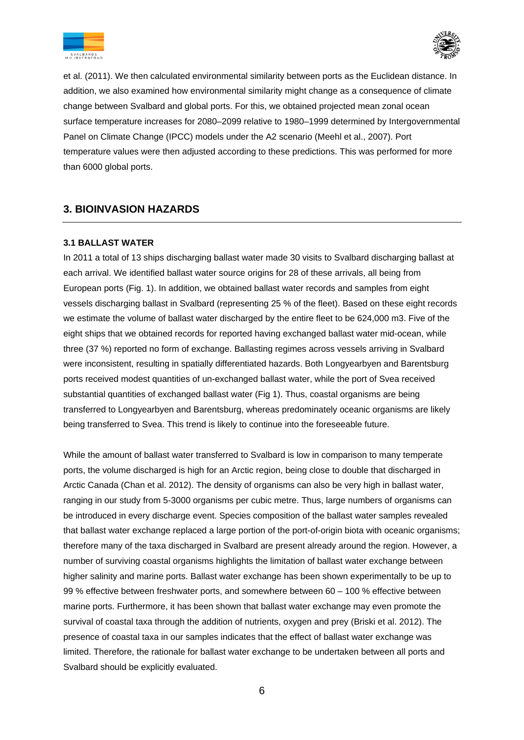



et al. (2011). We then calculated environmental similarity between ports as the Euclidean distance. In addition, we also examined how environmental similarity might change as a consequence of climate change between Svalbard and global ports. For this, we obtained projected mean zonal ocean surface temperature increases for 2080–2099 relative to 1980–1999 determined by Intergovernmental Panel on Climate Change (IPCC) models under the A2 scenario (Meehl et al., 2007). Port temperature values were then adjusted according to these predictions. This was performed for more than 6000 global ports.

## **3. BIOINVASION HAZARDS**

#### **3.1 BALLAST WATER**

In 2011 a total of 13 ships discharging ballast water made 30 visits to Svalbard discharging ballast at each arrival. We identified ballast water source origins for 28 of these arrivals, all being from European ports (Fig. 1). In addition, we obtained ballast water records and samples from eight vessels discharging ballast in Svalbard (representing 25 % of the fleet). Based on these eight records we estimate the volume of ballast water discharged by the entire fleet to be 624,000 m3. Five of the eight ships that we obtained records for reported having exchanged ballast water mid-ocean, while three (37 %) reported no form of exchange. Ballasting regimes across vessels arriving in Svalbard were inconsistent, resulting in spatially differentiated hazards. Both Longyearbyen and Barentsburg ports received modest quantities of un-exchanged ballast water, while the port of Svea received substantial quantities of exchanged ballast water (Fig 1). Thus, coastal organisms are being transferred to Longyearbyen and Barentsburg, whereas predominately oceanic organisms are likely being transferred to Svea. This trend is likely to continue into the foreseeable future.

While the amount of ballast water transferred to Svalbard is low in comparison to many temperate ports, the volume discharged is high for an Arctic region, being close to double that discharged in Arctic Canada (Chan et al. 2012). The density of organisms can also be very high in ballast water, ranging in our study from 5-3000 organisms per cubic metre. Thus, large numbers of organisms can be introduced in every discharge event. Species composition of the ballast water samples revealed that ballast water exchange replaced a large portion of the port-of-origin biota with oceanic organisms; therefore many of the taxa discharged in Svalbard are present already around the region. However, a number of surviving coastal organisms highlights the limitation of ballast water exchange between higher salinity and marine ports. Ballast water exchange has been shown experimentally to be up to 99 % effective between freshwater ports, and somewhere between 60 – 100 % effective between marine ports. Furthermore, it has been shown that ballast water exchange may even promote the survival of coastal taxa through the addition of nutrients, oxygen and prey (Briski et al. 2012). The presence of coastal taxa in our samples indicates that the effect of ballast water exchange was limited. Therefore, the rationale for ballast water exchange to be undertaken between all ports and Svalbard should be explicitly evaluated.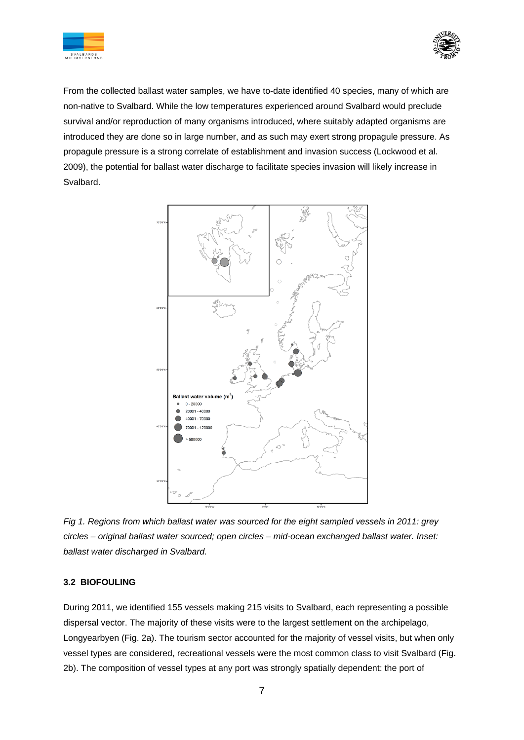



From the collected ballast water samples, we have to-date identified 40 species, many of which are non-native to Svalbard. While the low temperatures experienced around Svalbard would preclude survival and/or reproduction of many organisms introduced, where suitably adapted organisms are introduced they are done so in large number, and as such may exert strong propagule pressure. As propagule pressure is a strong correlate of establishment and invasion success (Lockwood et al. 2009), the potential for ballast water discharge to facilitate species invasion will likely increase in Svalbard.



*Fig 1. Regions from which ballast water was sourced for the eight sampled vessels in 2011: grey circles – original ballast water sourced; open circles – mid-ocean exchanged ballast water. Inset: ballast water discharged in Svalbard.*

#### **3.2 BIOFOULING**

During 2011, we identified 155 vessels making 215 visits to Svalbard, each representing a possible dispersal vector. The majority of these visits were to the largest settlement on the archipelago, Longyearbyen (Fig. 2a). The tourism sector accounted for the majority of vessel visits, but when only vessel types are considered, recreational vessels were the most common class to visit Svalbard (Fig. 2b). The composition of vessel types at any port was strongly spatially dependent: the port of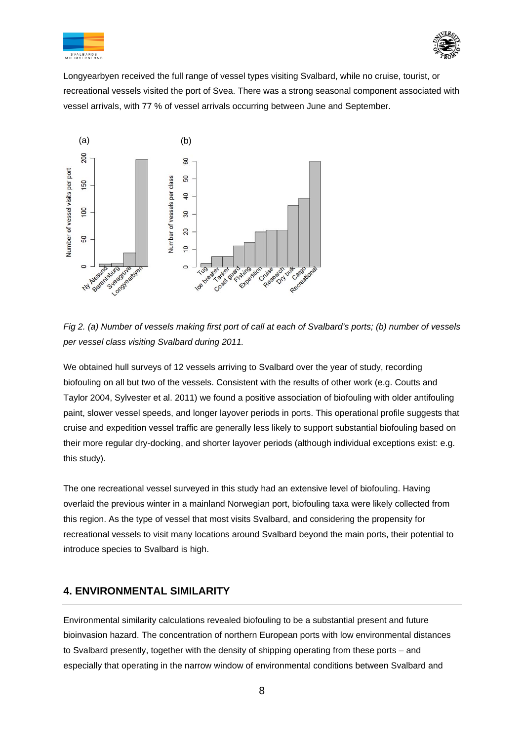



Longyearbyen received the full range of vessel types visiting Svalbard, while no cruise, tourist, or recreational vessels visited the port of Svea. There was a strong seasonal component associated with vessel arrivals, with 77 % of vessel arrivals occurring between June and September.



*Fig 2. (a) Number of vessels making first port of call at each of Svalbard's ports; (b) number of vessels per vessel class visiting Svalbard during 2011.*

We obtained hull surveys of 12 vessels arriving to Svalbard over the year of study, recording biofouling on all but two of the vessels. Consistent with the results of other work (e.g. Coutts and Taylor 2004, Sylvester et al. 2011) we found a positive association of biofouling with older antifouling paint, slower vessel speeds, and longer layover periods in ports. This operational profile suggests that cruise and expedition vessel traffic are generally less likely to support substantial biofouling based on their more regular dry-docking, and shorter layover periods (although individual exceptions exist: e.g. this study).

The one recreational vessel surveyed in this study had an extensive level of biofouling. Having overlaid the previous winter in a mainland Norwegian port, biofouling taxa were likely collected from this region. As the type of vessel that most visits Svalbard, and considering the propensity for recreational vessels to visit many locations around Svalbard beyond the main ports, their potential to introduce species to Svalbard is high.

## **4. ENVIRONMENTAL SIMILARITY**

Environmental similarity calculations revealed biofouling to be a substantial present and future bioinvasion hazard. The concentration of northern European ports with low environmental distances to Svalbard presently, together with the density of shipping operating from these ports – and especially that operating in the narrow window of environmental conditions between Svalbard and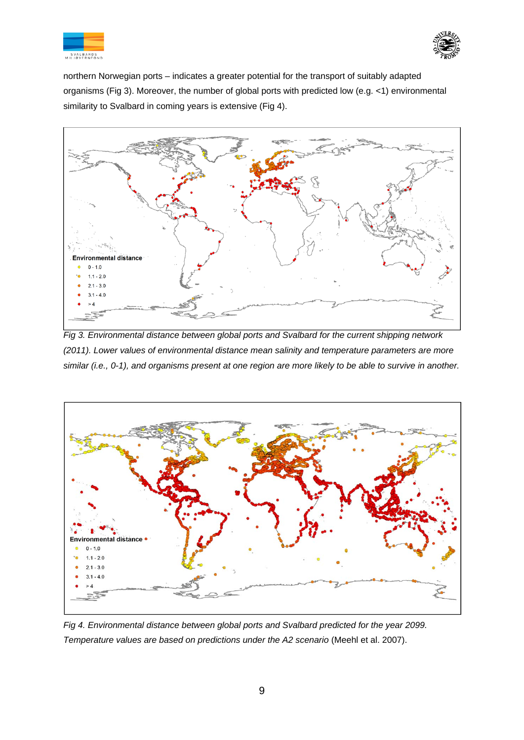![](_page_9_Picture_0.jpeg)

![](_page_9_Picture_1.jpeg)

northern Norwegian ports – indicates a greater potential for the transport of suitably adapted organisms (Fig 3). Moreover, the number of global ports with predicted low (e.g. <1) environmental similarity to Svalbard in coming years is extensive (Fig 4).

![](_page_9_Figure_3.jpeg)

*Fig 3. Environmental distance between global ports and Svalbard for the current shipping network (2011). Lower values of environmental distance mean salinity and temperature parameters are more similar (i.e., 0-1), and organisms present at one region are more likely to be able to survive in another.* 

![](_page_9_Figure_5.jpeg)

*Fig 4. Environmental distance between global ports and Svalbard predicted for the year 2099. Temperature values are based on predictions under the A2 scenario (Meehl et al. 2007).*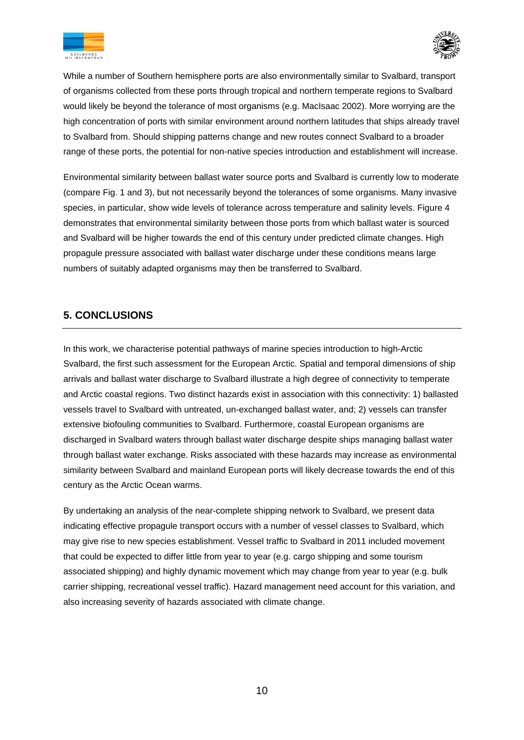![](_page_10_Picture_0.jpeg)

![](_page_10_Picture_1.jpeg)

While a number of Southern hemisphere ports are also environmentally similar to Svalbard, transport of organisms collected from these ports through tropical and northern temperate regions to Svalbard would likely be beyond the tolerance of most organisms (e.g. MacIsaac 2002). More worrying are the high concentration of ports with similar environment around northern latitudes that ships already travel to Svalbard from. Should shipping patterns change and new routes connect Svalbard to a broader range of these ports, the potential for non-native species introduction and establishment will increase.

Environmental similarity between ballast water source ports and Svalbard is currently low to moderate (compare Fig. 1 and 3), but not necessarily beyond the tolerances of some organisms. Many invasive species, in particular, show wide levels of tolerance across temperature and salinity levels. Figure 4 demonstrates that environmental similarity between those ports from which ballast water is sourced and Svalbard will be higher towards the end of this century under predicted climate changes. High propagule pressure associated with ballast water discharge under these conditions means large numbers of suitably adapted organisms may then be transferred to Svalbard.

## **5. CONCLUSIONS**

In this work, we characterise potential pathways of marine species introduction to high-Arctic Svalbard, the first such assessment for the European Arctic. Spatial and temporal dimensions of ship arrivals and ballast water discharge to Svalbard illustrate a high degree of connectivity to temperate and Arctic coastal regions. Two distinct hazards exist in association with this connectivity: 1) ballasted vessels travel to Svalbard with untreated, un-exchanged ballast water, and; 2) vessels can transfer extensive biofouling communities to Svalbard. Furthermore, coastal European organisms are discharged in Svalbard waters through ballast water discharge despite ships managing ballast water through ballast water exchange. Risks associated with these hazards may increase as environmental similarity between Svalbard and mainland European ports will likely decrease towards the end of this century as the Arctic Ocean warms.

By undertaking an analysis of the near-complete shipping network to Svalbard, we present data indicating effective propagule transport occurs with a number of vessel classes to Svalbard, which may give rise to new species establishment. Vessel traffic to Svalbard in 2011 included movement that could be expected to differ little from year to year (e.g. cargo shipping and some tourism associated shipping) and highly dynamic movement which may change from year to year (e.g. bulk carrier shipping, recreational vessel traffic). Hazard management need account for this variation, and also increasing severity of hazards associated with climate change.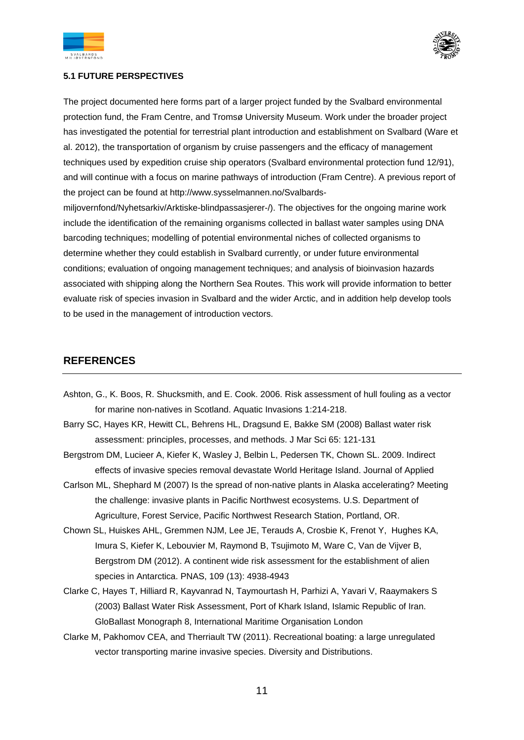![](_page_11_Picture_0.jpeg)

![](_page_11_Picture_1.jpeg)

#### **5.1 FUTURE PERSPECTIVES**

The project documented here forms part of a larger project funded by the Svalbard environmental protection fund, the Fram Centre, and Tromsø University Museum. Work under the broader project has investigated the potential for terrestrial plant introduction and establishment on Svalbard (Ware et al. 2012), the transportation of organism by cruise passengers and the efficacy of management techniques used by expedition cruise ship operators (Svalbard environmental protection fund 12/91), and will continue with a focus on marine pathways of introduction (Fram Centre). A previous report of the project can be found at http://www.sysselmannen.no/Svalbards-

miljovernfond/Nyhetsarkiv/Arktiske-blindpassasjerer-/). The objectives for the ongoing marine work include the identification of the remaining organisms collected in ballast water samples using DNA barcoding techniques; modelling of potential environmental niches of collected organisms to determine whether they could establish in Svalbard currently, or under future environmental conditions; evaluation of ongoing management techniques; and analysis of bioinvasion hazards associated with shipping along the Northern Sea Routes. This work will provide information to better evaluate risk of species invasion in Svalbard and the wider Arctic, and in addition help develop tools to be used in the management of introduction vectors.

## **REFERENCES**

- Ashton, G., K. Boos, R. Shucksmith, and E. Cook. 2006. Risk assessment of hull fouling as a vector for marine non-natives in Scotland. Aquatic Invasions 1:214-218.
- Barry SC, Hayes KR, Hewitt CL, Behrens HL, Dragsund E, Bakke SM (2008) Ballast water risk assessment: principles, processes, and methods. J Mar Sci 65: 121-131
- Bergstrom DM, Lucieer A, Kiefer K, Wasley J, Belbin L, Pedersen TK, Chown SL. 2009. Indirect effects of invasive species removal devastate World Heritage Island. Journal of Applied
- Carlson ML, Shephard M (2007) Is the spread of non-native plants in Alaska accelerating? Meeting the challenge: invasive plants in Pacific Northwest ecosystems. U.S. Department of Agriculture, Forest Service, Pacific Northwest Research Station, Portland, OR.
- Chown SL, Huiskes AHL, Gremmen NJM, Lee JE, Terauds A, Crosbie K, Frenot Y, Hughes KA, Imura S, Kiefer K, Lebouvier M, Raymond B, Tsujimoto M, Ware C, Van de Vijver B, Bergstrom DM (2012). A continent wide risk assessment for the establishment of alien species in Antarctica. PNAS, 109 (13): 4938-4943
- Clarke C, Hayes T, Hilliard R, Kayvanrad N, Taymourtash H, Parhizi A, Yavari V, Raaymakers S (2003) Ballast Water Risk Assessment, Port of Khark Island, Islamic Republic of Iran. GloBallast Monograph 8, International Maritime Organisation London
- Clarke M, Pakhomov CEA, and Therriault TW (2011). Recreational boating: a large unregulated vector transporting marine invasive species. Diversity and Distributions.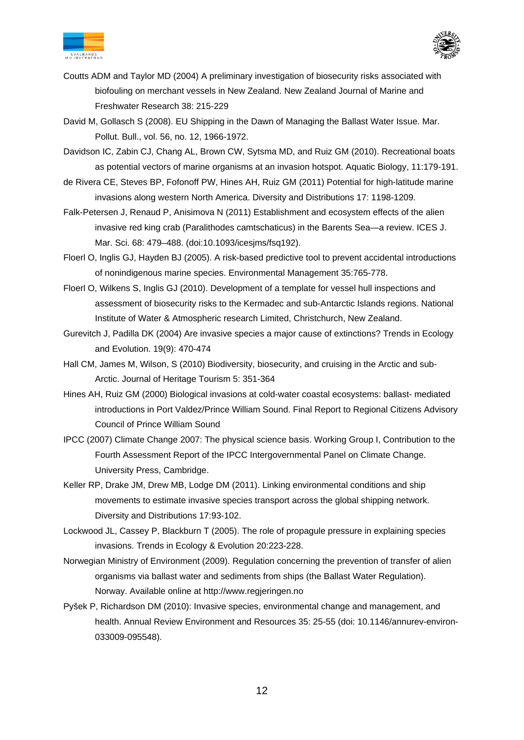![](_page_12_Picture_0.jpeg)

![](_page_12_Picture_1.jpeg)

- Coutts ADM and Taylor MD (2004) A preliminary investigation of biosecurity risks associated with biofouling on merchant vessels in New Zealand. New Zealand Journal of Marine and Freshwater Research 38: 215-229
- David M, Gollasch S (2008). EU Shipping in the Dawn of Managing the Ballast Water Issue. Mar. Pollut. Bull., vol. 56, no. 12, 1966-1972.
- Davidson IC, Zabin CJ, Chang AL, Brown CW, Sytsma MD, and Ruiz GM (2010). Recreational boats as potential vectors of marine organisms at an invasion hotspot. Aquatic Biology, 11:179-191.
- de Rivera CE, Steves BP, Fofonoff PW, Hines AH, Ruiz GM (2011) Potential for high-latitude marine invasions along western North America. Diversity and Distributions 17: 1198-1209.
- Falk-Petersen J, Renaud P, Anisimova N (2011) Establishment and ecosystem effects of the alien invasive red king crab (Paralithodes camtschaticus) in the Barents Sea—a review. ICES J. Mar. Sci. 68: 479–488. (doi:10.1093/icesjms/fsq192).
- Floerl O, Inglis GJ, Hayden BJ (2005). A risk-based predictive tool to prevent accidental introductions of nonindigenous marine species. Environmental Management 35:765-778.
- Floerl O, Wilkens S, Inglis GJ (2010). Development of a template for vessel hull inspections and assessment of biosecurity risks to the Kermadec and sub-Antarctic Islands regions. National Institute of Water & Atmospheric research Limited, Christchurch, New Zealand.
- Gurevitch J, Padilla DK (2004) Are invasive species a major cause of extinctions? Trends in Ecology and Evolution. 19(9): 470-474
- Hall CM, James M, Wilson, S (2010) Biodiversity, biosecurity, and cruising in the Arctic and sub-Arctic. Journal of Heritage Tourism 5: 351-364
- Hines AH, Ruiz GM (2000) Biological invasions at cold-water coastal ecosystems: ballast- mediated introductions in Port Valdez/Prince William Sound. Final Report to Regional Citizens Advisory Council of Prince William Sound
- IPCC (2007) Climate Change 2007: The physical science basis. Working Group I, Contribution to the Fourth Assessment Report of the IPCC Intergovernmental Panel on Climate Change. University Press, Cambridge.
- Keller RP, Drake JM, Drew MB, Lodge DM (2011). Linking environmental conditions and ship movements to estimate invasive species transport across the global shipping network. Diversity and Distributions 17:93-102.
- Lockwood JL, Cassey P, Blackburn T (2005). The role of propagule pressure in explaining species invasions. Trends in Ecology & Evolution 20:223-228.
- Norwegian Ministry of Environment (2009). Regulation concerning the prevention of transfer of alien organisms via ballast water and sediments from ships (the Ballast Water Regulation). Norway. Available online at http://www.regjeringen.no
- Pyšek P, Richardson DM (2010): Invasive species, environmental change and management, and health. Annual Review Environment and Resources 35: 25-55 (doi: 10.1146/annurev-environ-033009-095548).